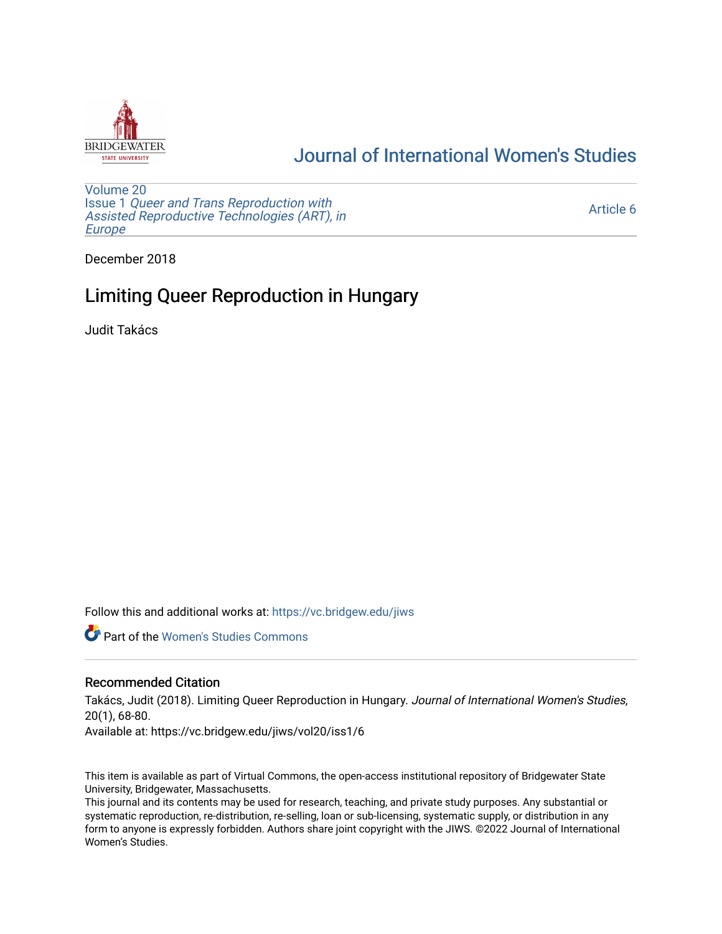

# [Journal of International Women's Studies](https://vc.bridgew.edu/jiws)

[Volume 20](https://vc.bridgew.edu/jiws/vol20) Issue 1 [Queer and Trans Reproduction with](https://vc.bridgew.edu/jiws/vol20/iss1) [Assisted Reproductive Technologies \(ART\), in](https://vc.bridgew.edu/jiws/vol20/iss1) [Europe](https://vc.bridgew.edu/jiws/vol20/iss1)

[Article 6](https://vc.bridgew.edu/jiws/vol20/iss1/6) 

December 2018

# Limiting Queer Reproduction in Hungary

Judit Takács

Follow this and additional works at: [https://vc.bridgew.edu/jiws](https://vc.bridgew.edu/jiws?utm_source=vc.bridgew.edu%2Fjiws%2Fvol20%2Fiss1%2F6&utm_medium=PDF&utm_campaign=PDFCoverPages)

**C** Part of the Women's Studies Commons

#### Recommended Citation

Takács, Judit (2018). Limiting Queer Reproduction in Hungary. Journal of International Women's Studies, 20(1), 68-80.

Available at: https://vc.bridgew.edu/jiws/vol20/iss1/6

This item is available as part of Virtual Commons, the open-access institutional repository of Bridgewater State University, Bridgewater, Massachusetts.

This journal and its contents may be used for research, teaching, and private study purposes. Any substantial or systematic reproduction, re-distribution, re-selling, loan or sub-licensing, systematic supply, or distribution in any form to anyone is expressly forbidden. Authors share joint copyright with the JIWS. ©2022 Journal of International Women's Studies.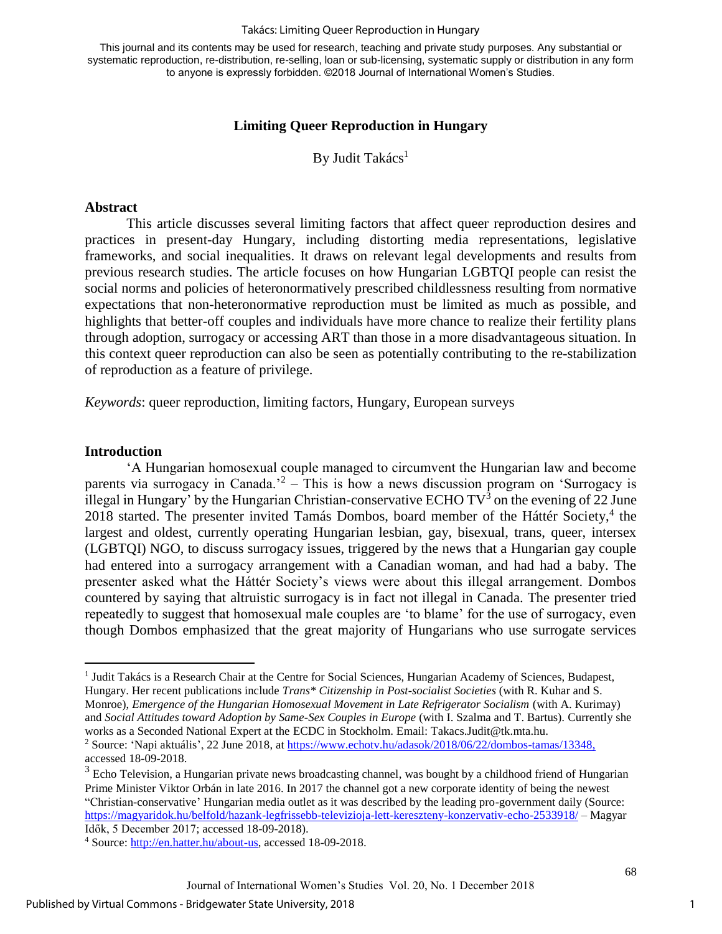#### Takács: Limiting Queer Reproduction in Hungary

This journal and its contents may be used for research, teaching and private study purposes. Any substantial or systematic reproduction, re-distribution, re-selling, loan or sub-licensing, systematic supply or distribution in any form to anyone is expressly forbidden. ©2018 Journal of International Women's Studies.

### **Limiting Queer Reproduction in Hungary**

By Judit Takács<sup>1</sup>

### **Abstract**

This article discusses several limiting factors that affect queer reproduction desires and practices in present-day Hungary, including distorting media representations, legislative frameworks, and social inequalities. It draws on relevant legal developments and results from previous research studies. The article focuses on how Hungarian LGBTQI people can resist the social norms and policies of heteronormatively prescribed childlessness resulting from normative expectations that non-heteronormative reproduction must be limited as much as possible, and highlights that better-off couples and individuals have more chance to realize their fertility plans through adoption, surrogacy or accessing ART than those in a more disadvantageous situation. In this context queer reproduction can also be seen as potentially contributing to the re-stabilization of reproduction as a feature of privilege.

*Keywords*: queer reproduction, limiting factors, Hungary, European surveys

#### **Introduction**

 $\overline{a}$ 

'A Hungarian homosexual couple managed to circumvent the Hungarian law and become parents via surrogacy in Canada.<sup>2</sup> – This is how a news discussion program on 'Surrogacy is illegal in Hungary' by the Hungarian Christian-conservative ECHO  $TV^3$  on the evening of 22 June 2018 started. The presenter invited Tamás Dombos, board member of the Háttér Society,<sup>4</sup> the largest and oldest, currently operating Hungarian lesbian, gay, bisexual, trans, queer, intersex (LGBTQI) NGO, to discuss surrogacy issues, triggered by the news that a Hungarian gay couple had entered into a surrogacy arrangement with a Canadian woman, and had had a baby. The presenter asked what the Háttér Society's views were about this illegal arrangement. Dombos countered by saying that altruistic surrogacy is in fact not illegal in Canada. The presenter tried repeatedly to suggest that homosexual male couples are 'to blame' for the use of surrogacy, even though Dombos emphasized that the great majority of Hungarians who use surrogate services

<sup>1</sup> Judit Takács is a Research Chair at the Centre for Social Sciences, Hungarian Academy of Sciences, Budapest, Hungary. Her recent publications include *Trans\* Citizenship in Post-socialist Societies* (with R. Kuhar and S. Monroe), *Emergence of the Hungarian Homosexual Movement in Late Refrigerator Socialism* (with A. Kurimay) and *Social Attitudes toward Adoption by Same-Sex Couples in Europe* (with I. Szalma and T. Bartus)*.* Currently she works as a Seconded National Expert at the ECDC in Stockholm. Email: Takacs.Judit@tk.mta.hu.

<sup>2</sup> Source: 'Napi aktuális', 22 June 2018, at [https://www.echotv.hu/adasok/2018/06/22/dombos-tamas/13348,](https://www.echotv.hu/adasok/2018/06/22/dombos-tamas/13348) accessed 18-09-2018.

<sup>&</sup>lt;sup>3</sup> Echo Television, a Hungarian private news broadcasting channel, was bought by a childhood friend of Hungarian Prime Minister Viktor Orbán in late 2016. In 2017 the channel got a new corporate identity of being the newest "Christian-conservative' Hungarian media outlet as it was described by the leading pro-government daily (Source: <https://magyaridok.hu/belfold/hazank-legfrissebb-televizioja-lett-kereszteny-konzervativ-echo-2533918/> – Magyar Idők, 5 December 2017; accessed 18-09-2018).

<sup>4</sup> Source: [http://en.hatter.hu/about-us,](http://en.hatter.hu/about-us) accessed 18-09-2018.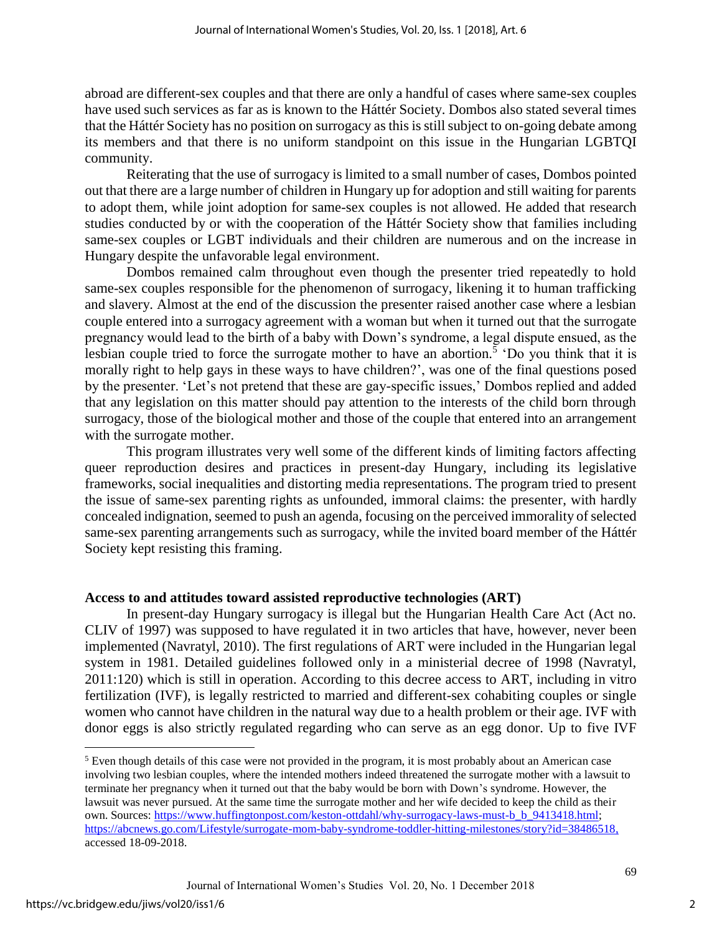abroad are different-sex couples and that there are only a handful of cases where same-sex couples have used such services as far as is known to the Háttér Society. Dombos also stated several times that the Háttér Society has no position on surrogacy as this is still subject to on-going debate among its members and that there is no uniform standpoint on this issue in the Hungarian LGBTQI community.

Reiterating that the use of surrogacy is limited to a small number of cases, Dombos pointed out that there are a large number of children in Hungary up for adoption and still waiting for parents to adopt them, while joint adoption for same-sex couples is not allowed. He added that research studies conducted by or with the cooperation of the Háttér Society show that families including same-sex couples or LGBT individuals and their children are numerous and on the increase in Hungary despite the unfavorable legal environment.

Dombos remained calm throughout even though the presenter tried repeatedly to hold same-sex couples responsible for the phenomenon of surrogacy, likening it to human trafficking and slavery. Almost at the end of the discussion the presenter raised another case where a lesbian couple entered into a surrogacy agreement with a woman but when it turned out that the surrogate pregnancy would lead to the birth of a baby with Down's syndrome, a legal dispute ensued, as the lesbian couple tried to force the surrogate mother to have an abortion.<sup>5</sup> 'Do you think that it is morally right to help gays in these ways to have children?', was one of the final questions posed by the presenter. 'Let's not pretend that these are gay-specific issues,' Dombos replied and added that any legislation on this matter should pay attention to the interests of the child born through surrogacy, those of the biological mother and those of the couple that entered into an arrangement with the surrogate mother.

This program illustrates very well some of the different kinds of limiting factors affecting queer reproduction desires and practices in present-day Hungary, including its legislative frameworks, social inequalities and distorting media representations. The program tried to present the issue of same-sex parenting rights as unfounded, immoral claims: the presenter, with hardly concealed indignation, seemed to push an agenda, focusing on the perceived immorality of selected same-sex parenting arrangements such as surrogacy, while the invited board member of the Háttér Society kept resisting this framing.

#### **Access to and attitudes toward assisted reproductive technologies (ART)**

In present-day Hungary surrogacy is illegal but the Hungarian Health Care Act (Act no. CLIV of 1997) was supposed to have regulated it in two articles that have, however, never been implemented (Navratyl, 2010). The first regulations of ART were included in the Hungarian legal system in 1981. Detailed guidelines followed only in a ministerial decree of 1998 (Navratyl, 2011:120) which is still in operation. According to this decree access to ART, including in vitro fertilization (IVF), is legally restricted to married and different-sex cohabiting couples or single women who cannot have children in the natural way due to a health problem or their age. IVF with donor eggs is also strictly regulated regarding who can serve as an egg donor. Up to five IVF

 $\overline{a}$ 

<sup>5</sup> Even though details of this case were not provided in the program, it is most probably about an American case involving two lesbian couples, where the intended mothers indeed threatened the surrogate mother with a lawsuit to terminate her pregnancy when it turned out that the baby would be born with Down's syndrome. However, the lawsuit was never pursued. At the same time the surrogate mother and her wife decided to keep the child as their own. Sources: [https://www.huffingtonpost.com/keston-ottdahl/why-surrogacy-laws-must-b\\_b\\_9413418.html;](https://www.huffingtonpost.com/keston-ottdahl/why-surrogacy-laws-must-b_b_9413418.html) [https://abcnews.go.com/Lifestyle/surrogate-mom-baby-syndrome-toddler-hitting-milestones/story?id=38486518,](https://abcnews.go.com/Lifestyle/surrogate-mom-baby-syndrome-toddler-hitting-milestones/story?id=38486518) accessed 18-09-2018.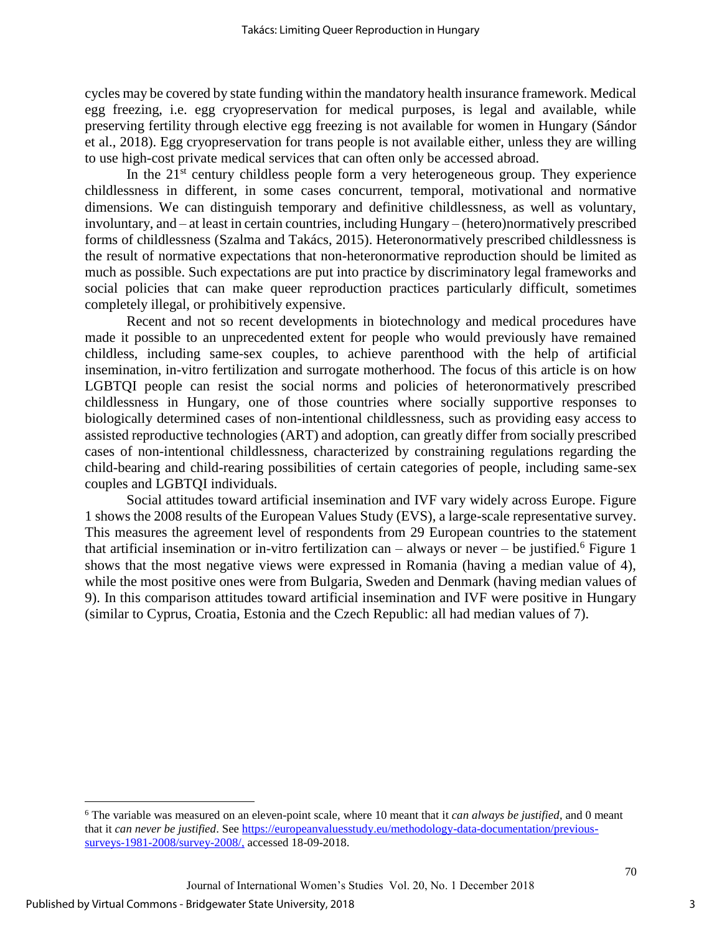cycles may be covered by state funding within the mandatory health insurance framework. Medical egg freezing, i.e. egg cryopreservation for medical purposes, is legal and available, while preserving fertility through elective egg freezing is not available for women in Hungary (Sándor et al., 2018). Egg cryopreservation for trans people is not available either, unless they are willing to use high-cost private medical services that can often only be accessed abroad.

In the  $21<sup>st</sup>$  century childless people form a very heterogeneous group. They experience childlessness in different, in some cases concurrent, temporal, motivational and normative dimensions. We can distinguish temporary and definitive childlessness, as well as voluntary, involuntary, and – at least in certain countries, including Hungary – (hetero)normatively prescribed forms of childlessness (Szalma and Takács, 2015). Heteronormatively prescribed childlessness is the result of normative expectations that non-heteronormative reproduction should be limited as much as possible. Such expectations are put into practice by discriminatory legal frameworks and social policies that can make queer reproduction practices particularly difficult, sometimes completely illegal, or prohibitively expensive.

Recent and not so recent developments in biotechnology and medical procedures have made it possible to an unprecedented extent for people who would previously have remained childless, including same-sex couples, to achieve parenthood with the help of artificial insemination, in-vitro fertilization and surrogate motherhood. The focus of this article is on how LGBTQI people can resist the social norms and policies of heteronormatively prescribed childlessness in Hungary, one of those countries where socially supportive responses to biologically determined cases of non-intentional childlessness, such as providing easy access to assisted reproductive technologies (ART) and adoption, can greatly differ from socially prescribed cases of non-intentional childlessness, characterized by constraining regulations regarding the child-bearing and child-rearing possibilities of certain categories of people, including same-sex couples and LGBTQI individuals.

Social attitudes toward artificial insemination and IVF vary widely across Europe. Figure 1 shows the 2008 results of the European Values Study (EVS), a large-scale representative survey. This measures the agreement level of respondents from 29 European countries to the statement that artificial insemination or in-vitro fertilization can – always or never – be justified.<sup>6</sup> Figure 1 shows that the most negative views were expressed in Romania (having a median value of 4), while the most positive ones were from Bulgaria, Sweden and Denmark (having median values of 9). In this comparison attitudes toward artificial insemination and IVF were positive in Hungary (similar to Cyprus, Croatia, Estonia and the Czech Republic: all had median values of 7).

 $\overline{a}$ 

<sup>6</sup> The variable was measured on an eleven-point scale, where 10 meant that it *can always be justified*, and 0 meant that it *can never be justified*. See [https://europeanvaluesstudy.eu/methodology-data-documentation/previous](https://europeanvaluesstudy.eu/methodology-data-documentation/previous-surveys-1981-2008/survey-2008/)[surveys-1981-2008/survey-2008/,](https://europeanvaluesstudy.eu/methodology-data-documentation/previous-surveys-1981-2008/survey-2008/) accessed 18-09-2018.

Journal of International Women's Studies Vol. 20, No. 1 December 2018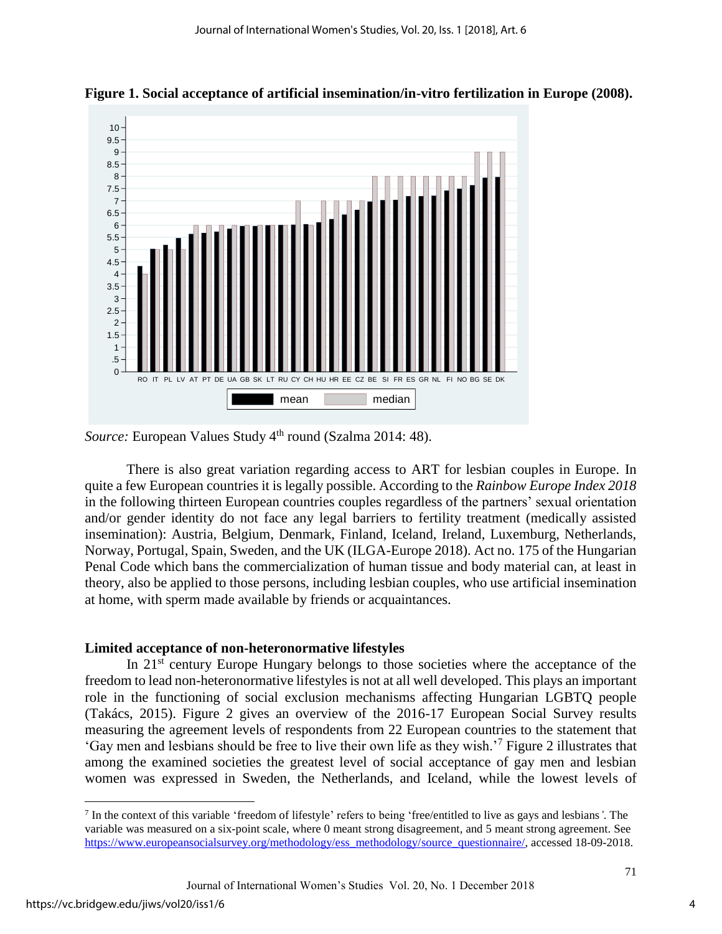



# *Source:* European Values Study 4<sup>th</sup> round (Szalma 2014: 48).

There is also great variation regarding access to ART for lesbian couples in Europe. In quite a few European countries it is legally possible. According to the *Rainbow Europe Index 2018* in the following thirteen European countries couples regardless of the partners' sexual orientation and/or gender identity do not face any legal barriers to fertility treatment (medically assisted insemination): Austria, Belgium, Denmark, Finland, Iceland, Ireland, Luxemburg, Netherlands, Norway, Portugal, Spain, Sweden, and the UK (ILGA-Europe 2018). Act no. 175 of the Hungarian Penal Code which bans the commercialization of human tissue and body material can, at least in theory, also be applied to those persons, including lesbian couples, who use artificial insemination at home, with sperm made available by friends or acquaintances.

## **Limited acceptance of non-heteronormative lifestyles**

In 21<sup>st</sup> century Europe Hungary belongs to those societies where the acceptance of the freedom to lead non-heteronormative lifestyles is not at all well developed. This plays an important role in the functioning of social exclusion mechanisms affecting Hungarian LGBTQ people (Takács, 2015). Figure 2 gives an overview of the 2016-17 European Social Survey results measuring the agreement levels of respondents from 22 European countries to the statement that 'Gay men and lesbians should be free to live their own life as they wish.'<sup>7</sup> Figure 2 illustrates that among the examined societies the greatest level of social acceptance of gay men and lesbian women was expressed in Sweden, the Netherlands, and Iceland, while the lowest levels of

 $\overline{a}$ 

<sup>7</sup> In the context of this variable 'freedom of lifestyle' refers to being 'free/entitled to live as gays and lesbians*'*. The variable was measured on a six-point scale, where 0 meant strong disagreement, and 5 meant strong agreement. See [https://www.europeansocialsurvey.org/methodology/ess\\_methodology/source\\_questionnaire/,](https://www.europeansocialsurvey.org/methodology/ess_methodology/source_questionnaire/) accessed 18-09-2018.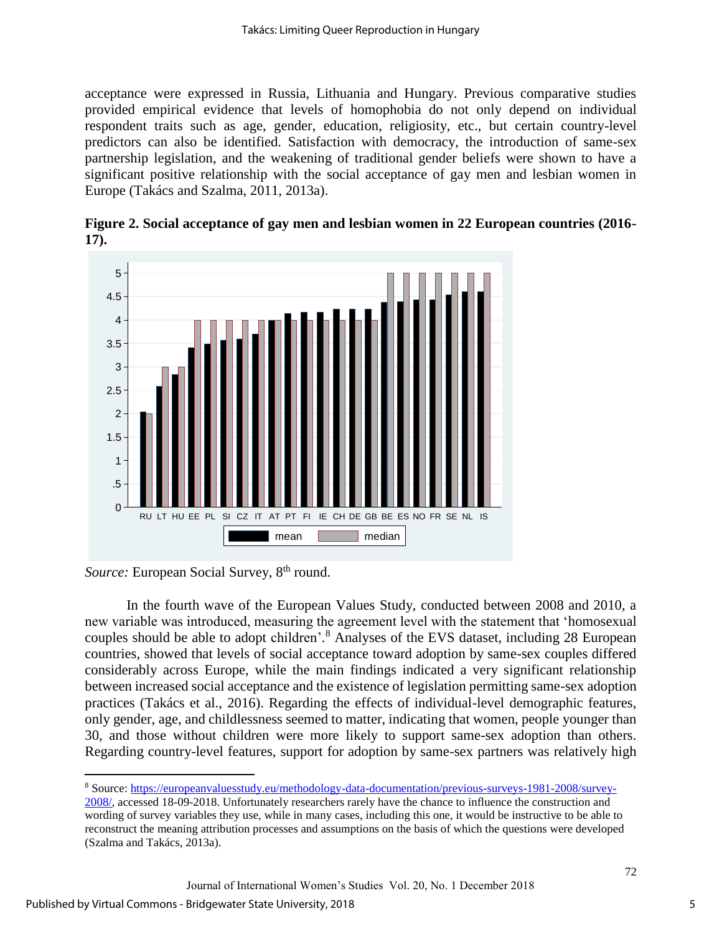acceptance were expressed in Russia, Lithuania and Hungary. Previous comparative studies provided empirical evidence that levels of homophobia do not only depend on individual respondent traits such as age, gender, education, religiosity, etc., but certain country-level predictors can also be identified. Satisfaction with democracy, the introduction of same-sex partnership legislation, and the weakening of traditional gender beliefs were shown to have a significant positive relationship with the social acceptance of gay men and lesbian women in Europe (Takács and Szalma, 2011, 2013a).



**Figure 2. Social acceptance of gay men and lesbian women in 22 European countries (2016- 17).** 

In the fourth wave of the European Values Study, conducted between 2008 and 2010, a new variable was introduced, measuring the agreement level with the statement that 'homosexual couples should be able to adopt children'*.* <sup>8</sup> Analyses of the EVS dataset, including 28 European countries, showed that levels of social acceptance toward adoption by same-sex couples differed considerably across Europe, while the main findings indicated a very significant relationship between increased social acceptance and the existence of legislation permitting same-sex adoption practices (Takács et al., 2016). Regarding the effects of individual-level demographic features, only gender, age, and childlessness seemed to matter, indicating that women, people younger than 30, and those without children were more likely to support same-sex adoption than others. Regarding country-level features, support for adoption by same-sex partners was relatively high

 $\overline{a}$ 

*Source:* European Social Survey, 8<sup>th</sup> round.

<sup>8</sup> Source: [https://europeanvaluesstudy.eu/methodology-data-documentation/previous-surveys-1981-2008/survey-](https://europeanvaluesstudy.eu/methodology-data-documentation/previous-surveys-1981-2008/survey-2008/)

[<sup>2008/,</sup>](https://europeanvaluesstudy.eu/methodology-data-documentation/previous-surveys-1981-2008/survey-2008/) accessed 18-09-2018. Unfortunately researchers rarely have the chance to influence the construction and wording of survey variables they use, while in many cases, including this one, it would be instructive to be able to reconstruct the meaning attribution processes and assumptions on the basis of which the questions were developed (Szalma and Takács, 2013a).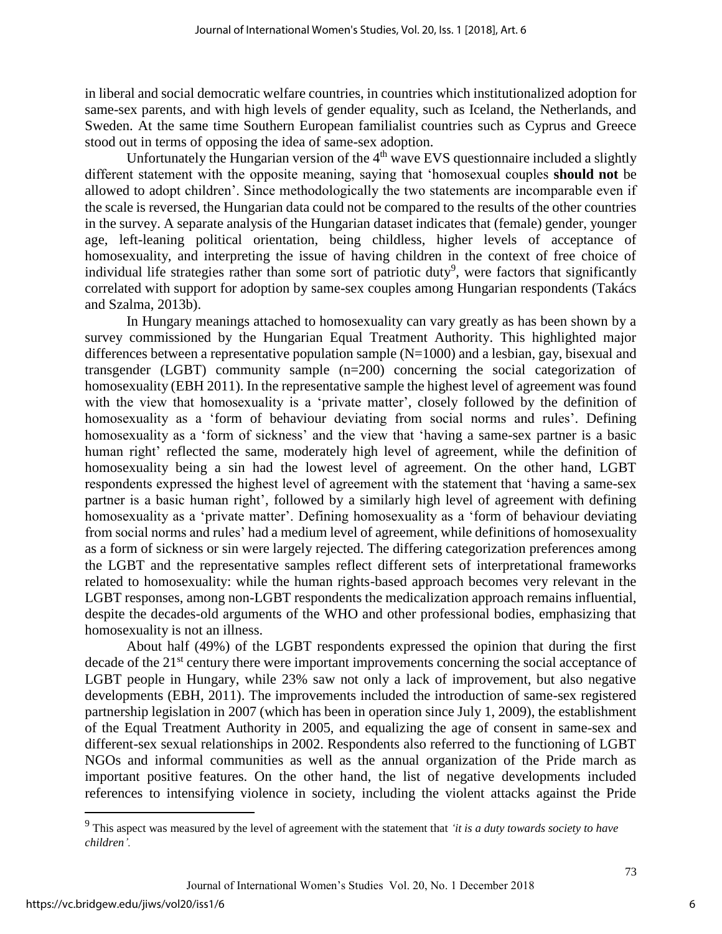in liberal and social democratic welfare countries, in countries which institutionalized adoption for same-sex parents, and with high levels of gender equality, such as Iceland, the Netherlands, and Sweden. At the same time Southern European familialist countries such as Cyprus and Greece stood out in terms of opposing the idea of same-sex adoption.

Unfortunately the Hungarian version of the  $4<sup>th</sup>$  wave EVS questionnaire included a slightly different statement with the opposite meaning, saying that 'homosexual couples **should not** be allowed to adopt children'. Since methodologically the two statements are incomparable even if the scale is reversed, the Hungarian data could not be compared to the results of the other countries in the survey. A separate analysis of the Hungarian dataset indicates that (female) gender, younger age, left-leaning political orientation, being childless, higher levels of acceptance of homosexuality, and interpreting the issue of having children in the context of free choice of individual life strategies rather than some sort of patriotic duty<sup>9</sup>, were factors that significantly correlated with support for adoption by same-sex couples among Hungarian respondents (Takács and Szalma, 2013b).

In Hungary meanings attached to homosexuality can vary greatly as has been shown by a survey commissioned by the Hungarian Equal Treatment Authority. This highlighted major differences between a representative population sample  $(N=1000)$  and a lesbian, gay, bisexual and transgender (LGBT) community sample (n=200) concerning the social categorization of homosexuality (EBH 2011). In the representative sample the highest level of agreement was found with the view that homosexuality is a 'private matter', closely followed by the definition of homosexuality as a 'form of behaviour deviating from social norms and rules'. Defining homosexuality as a 'form of sickness' and the view that 'having a same-sex partner is a basic human right' reflected the same, moderately high level of agreement, while the definition of homosexuality being a sin had the lowest level of agreement. On the other hand, LGBT respondents expressed the highest level of agreement with the statement that 'having a same-sex partner is a basic human right', followed by a similarly high level of agreement with defining homosexuality as a 'private matter'. Defining homosexuality as a 'form of behaviour deviating from social norms and rules' had a medium level of agreement, while definitions of homosexuality as a form of sickness or sin were largely rejected. The differing categorization preferences among the LGBT and the representative samples reflect different sets of interpretational frameworks related to homosexuality: while the human rights-based approach becomes very relevant in the LGBT responses, among non-LGBT respondents the medicalization approach remains influential, despite the decades-old arguments of the WHO and other professional bodies, emphasizing that homosexuality is not an illness.

About half (49%) of the LGBT respondents expressed the opinion that during the first decade of the 21<sup>st</sup> century there were important improvements concerning the social acceptance of LGBT people in Hungary, while 23% saw not only a lack of improvement, but also negative developments (EBH, 2011). The improvements included the introduction of same-sex registered partnership legislation in 2007 (which has been in operation since July 1, 2009), the establishment of the Equal Treatment Authority in 2005, and equalizing the age of consent in same-sex and different-sex sexual relationships in 2002. Respondents also referred to the functioning of LGBT NGOs and informal communities as well as the annual organization of the Pride march as important positive features. On the other hand, the list of negative developments included references to intensifying violence in society, including the violent attacks against the Pride

 $\overline{a}$ 

6

<sup>9</sup> This aspect was measured by the level of agreement with the statement that *'it is a duty towards society to have children'.*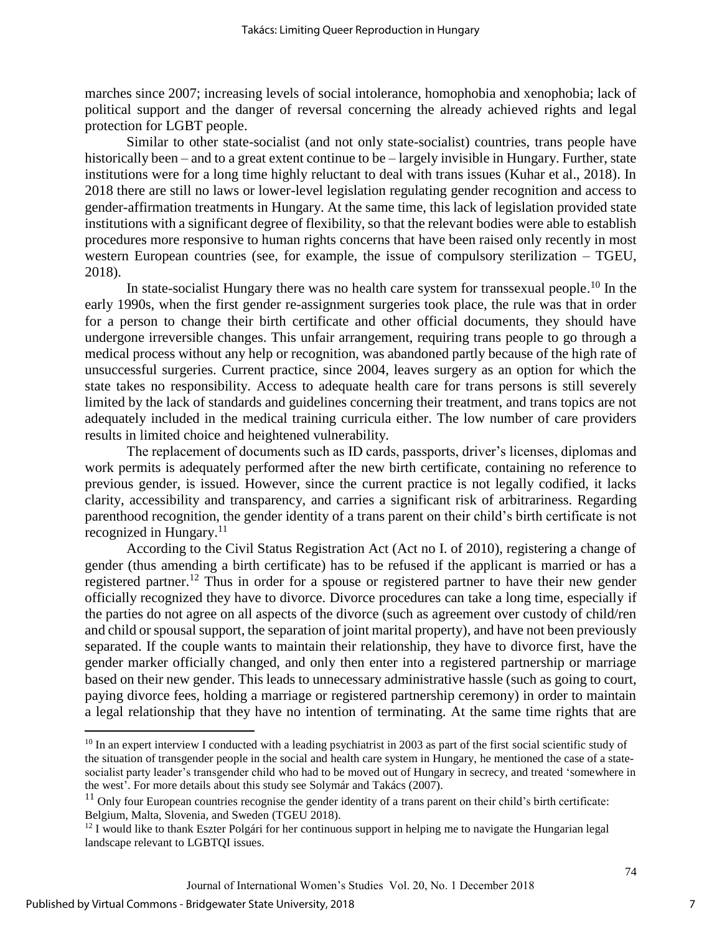marches since 2007; increasing levels of social intolerance, homophobia and xenophobia; lack of political support and the danger of reversal concerning the already achieved rights and legal protection for LGBT people.

Similar to other state-socialist (and not only state-socialist) countries, trans people have historically been – and to a great extent continue to be – largely invisible in Hungary. Further, state institutions were for a long time highly reluctant to deal with trans issues (Kuhar et al., 2018). In 2018 there are still no laws or lower-level legislation regulating gender recognition and access to gender-affirmation treatments in Hungary. At the same time, this lack of legislation provided state institutions with a significant degree of flexibility, so that the relevant bodies were able to establish procedures more responsive to human rights concerns that have been raised only recently in most western European countries (see, for example, the issue of compulsory sterilization – TGEU, 2018).

In state-socialist Hungary there was no health care system for transsexual people.<sup>10</sup> In the early 1990s, when the first gender re-assignment surgeries took place, the rule was that in order for a person to change their birth certificate and other official documents, they should have undergone irreversible changes. This unfair arrangement, requiring trans people to go through a medical process without any help or recognition, was abandoned partly because of the high rate of unsuccessful surgeries. Current practice, since 2004, leaves surgery as an option for which the state takes no responsibility. Access to adequate health care for trans persons is still severely limited by the lack of standards and guidelines concerning their treatment, and trans topics are not adequately included in the medical training curricula either. The low number of care providers results in limited choice and heightened vulnerability.

The replacement of documents such as ID cards, passports, driver's licenses, diplomas and work permits is adequately performed after the new birth certificate, containing no reference to previous gender, is issued. However, since the current practice is not legally codified, it lacks clarity, accessibility and transparency, and carries a significant risk of arbitrariness. Regarding parenthood recognition, the gender identity of a trans parent on their child's birth certificate is not recognized in Hungary. $11$ 

According to the Civil Status Registration Act (Act no I. of 2010), registering a change of gender (thus amending a birth certificate) has to be refused if the applicant is married or has a registered partner.<sup>12</sup> Thus in order for a spouse or registered partner to have their new gender officially recognized they have to divorce. Divorce procedures can take a long time, especially if the parties do not agree on all aspects of the divorce (such as agreement over custody of child/ren and child or spousal support, the separation of joint marital property), and have not been previously separated. If the couple wants to maintain their relationship, they have to divorce first, have the gender marker officially changed, and only then enter into a registered partnership or marriage based on their new gender. This leads to unnecessary administrative hassle (such as going to court, paying divorce fees, holding a marriage or registered partnership ceremony) in order to maintain a legal relationship that they have no intention of terminating. At the same time rights that are

 $\overline{a}$ 

<sup>&</sup>lt;sup>10</sup> In an expert interview I conducted with a leading psychiatrist in 2003 as part of the first social scientific study of the situation of transgender people in the social and health care system in Hungary, he mentioned the case of a statesocialist party leader's transgender child who had to be moved out of Hungary in secrecy, and treated 'somewhere in the west'. For more details about this study see Solymár and Takács (2007).

 $11$  Only four European countries recognise the gender identity of a trans parent on their child's birth certificate: Belgium, Malta, Slovenia, and Sweden (TGEU 2018).

 $12$  I would like to thank Eszter Polgári for her continuous support in helping me to navigate the Hungarian legal landscape relevant to LGBTQI issues.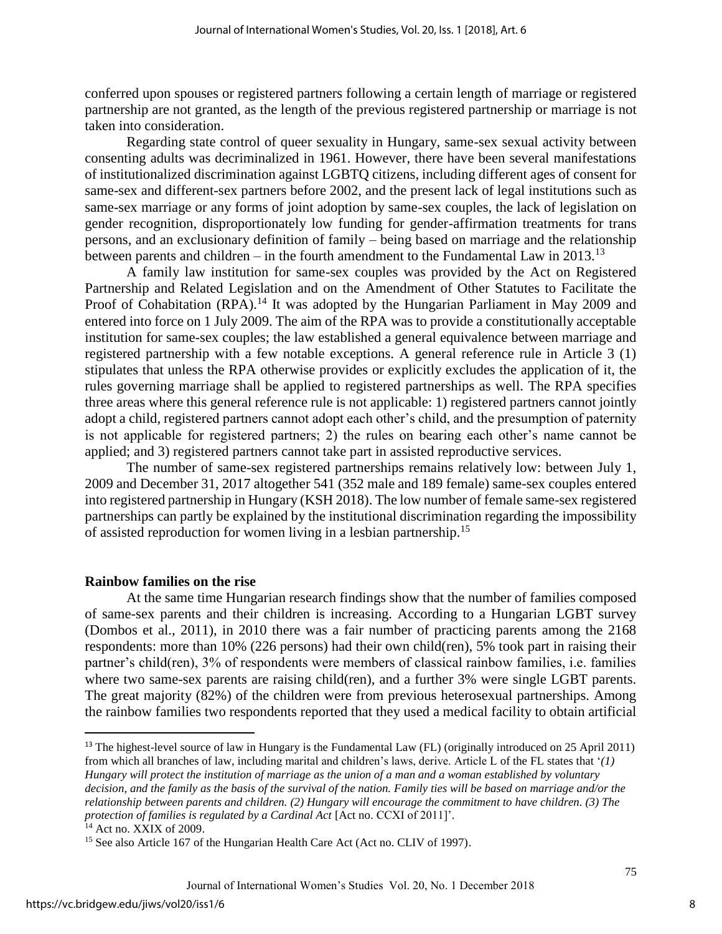conferred upon spouses or registered partners following a certain length of marriage or registered partnership are not granted, as the length of the previous registered partnership or marriage is not taken into consideration.

Regarding state control of queer sexuality in Hungary, same-sex sexual activity between consenting adults was decriminalized in 1961. However, there have been several manifestations of institutionalized discrimination against LGBTQ citizens, including different ages of consent for same-sex and different-sex partners before 2002, and the present lack of legal institutions such as same-sex marriage or any forms of joint adoption by same-sex couples, the lack of legislation on gender recognition, disproportionately low funding for gender-affirmation treatments for trans persons, and an exclusionary definition of family – being based on marriage and the relationship between parents and children – in the fourth amendment to the Fundamental Law in 2013.<sup>13</sup>

A family law institution for same-sex couples was provided by the Act on Registered Partnership and Related Legislation and on the Amendment of Other Statutes to Facilitate the Proof of Cohabitation (RPA).<sup>14</sup> It was adopted by the Hungarian Parliament in May 2009 and entered into force on 1 July 2009. The aim of the RPA was to provide a constitutionally acceptable institution for same-sex couples; the law established a general equivalence between marriage and registered partnership with a few notable exceptions. A general reference rule in Article 3 (1) stipulates that unless the RPA otherwise provides or explicitly excludes the application of it, the rules governing marriage shall be applied to registered partnerships as well. The RPA specifies three areas where this general reference rule is not applicable: 1) registered partners cannot jointly adopt a child, registered partners cannot adopt each other's child, and the presumption of paternity is not applicable for registered partners; 2) the rules on bearing each other's name cannot be applied; and 3) registered partners cannot take part in assisted reproductive services.

The number of same-sex registered partnerships remains relatively low: between July 1, 2009 and December 31, 2017 altogether 541 (352 male and 189 female) same-sex couples entered into registered partnership in Hungary (KSH 2018). The low number of female same-sex registered partnerships can partly be explained by the institutional discrimination regarding the impossibility of assisted reproduction for women living in a lesbian partnership.<sup>15</sup>

#### **Rainbow families on the rise**

At the same time Hungarian research findings show that the number of families composed of same-sex parents and their children is increasing. According to a Hungarian LGBT survey (Dombos et al., 2011), in 2010 there was a fair number of practicing parents among the 2168 respondents: more than 10% (226 persons) had their own child(ren), 5% took part in raising their partner's child(ren), 3% of respondents were members of classical rainbow families, i.e. families where two same-sex parents are raising child(ren), and a further 3% were single LGBT parents. The great majority (82%) of the children were from previous heterosexual partnerships. Among the rainbow families two respondents reported that they used a medical facility to obtain artificial

 $\overline{a}$ 

<sup>&</sup>lt;sup>13</sup> The highest-level source of law in Hungary is the Fundamental Law (FL) (originally introduced on 25 April 2011) from which all branches of law, including marital and children's laws, derive. Article L of the FL states that '*(1) Hungary will protect the institution of marriage as the union of a man and a woman established by voluntary decision, and the family as the basis of the survival of the nation. Family ties will be based on marriage and/or the relationship between parents and children. (2) Hungary will encourage the commitment to have children. (3) The protection of families is regulated by a Cardinal Act* [Act no. CCXI of 2011]'.

<sup>&</sup>lt;sup>14</sup> Act no. XXIX of 2009.

<sup>&</sup>lt;sup>15</sup> See also Article 167 of the Hungarian Health Care Act (Act no. CLIV of 1997).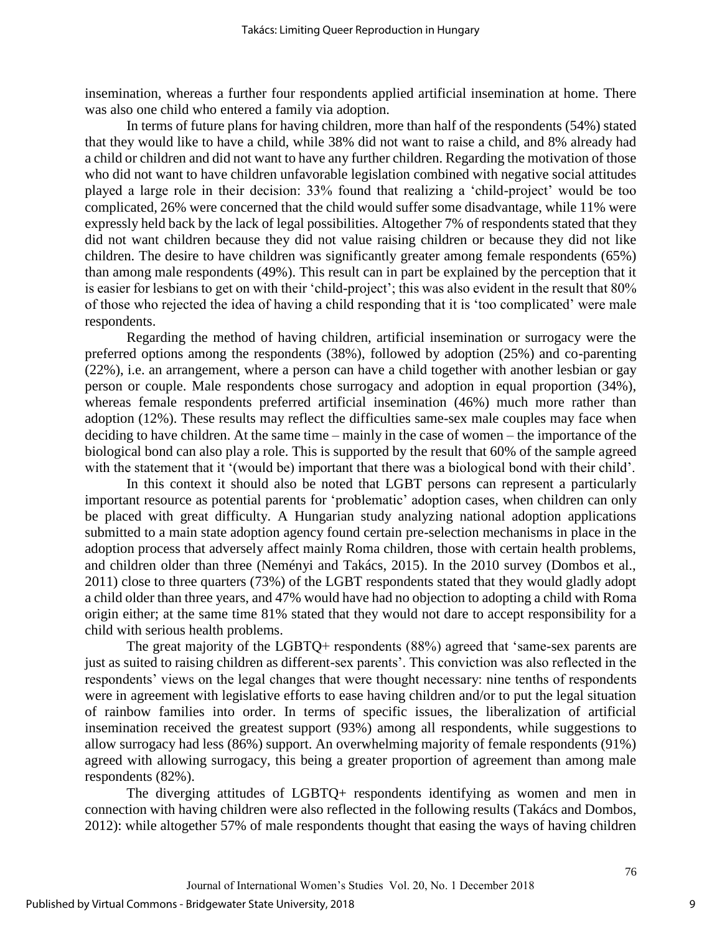insemination, whereas a further four respondents applied artificial insemination at home. There was also one child who entered a family via adoption.

In terms of future plans for having children, more than half of the respondents (54%) stated that they would like to have a child, while 38% did not want to raise a child, and 8% already had a child or children and did not want to have any further children. Regarding the motivation of those who did not want to have children unfavorable legislation combined with negative social attitudes played a large role in their decision: 33% found that realizing a 'child-project' would be too complicated, 26% were concerned that the child would suffer some disadvantage, while 11% were expressly held back by the lack of legal possibilities. Altogether 7% of respondents stated that they did not want children because they did not value raising children or because they did not like children. The desire to have children was significantly greater among female respondents (65%) than among male respondents (49%). This result can in part be explained by the perception that it is easier for lesbians to get on with their 'child-project'; this was also evident in the result that 80% of those who rejected the idea of having a child responding that it is 'too complicated' were male respondents.

Regarding the method of having children, artificial insemination or surrogacy were the preferred options among the respondents (38%), followed by adoption (25%) and co-parenting (22%), i.e. an arrangement, where a person can have a child together with another lesbian or gay person or couple. Male respondents chose surrogacy and adoption in equal proportion (34%), whereas female respondents preferred artificial insemination (46%) much more rather than adoption (12%). These results may reflect the difficulties same-sex male couples may face when deciding to have children. At the same time – mainly in the case of women – the importance of the biological bond can also play a role. This is supported by the result that 60% of the sample agreed with the statement that it '(would be) important that there was a biological bond with their child'.

In this context it should also be noted that LGBT persons can represent a particularly important resource as potential parents for 'problematic' adoption cases, when children can only be placed with great difficulty. A Hungarian study analyzing national adoption applications submitted to a main state adoption agency found certain pre-selection mechanisms in place in the adoption process that adversely affect mainly Roma children, those with certain health problems, and children older than three (Neményi and Takács, 2015). In the 2010 survey (Dombos et al., 2011) close to three quarters (73%) of the LGBT respondents stated that they would gladly adopt a child older than three years, and 47% would have had no objection to adopting a child with Roma origin either; at the same time 81% stated that they would not dare to accept responsibility for a child with serious health problems.

The great majority of the LGBTQ+ respondents (88%) agreed that 'same-sex parents are just as suited to raising children as different-sex parents'. This conviction was also reflected in the respondents' views on the legal changes that were thought necessary: nine tenths of respondents were in agreement with legislative efforts to ease having children and/or to put the legal situation of rainbow families into order. In terms of specific issues, the liberalization of artificial insemination received the greatest support (93%) among all respondents, while suggestions to allow surrogacy had less (86%) support. An overwhelming majority of female respondents (91%) agreed with allowing surrogacy, this being a greater proportion of agreement than among male respondents (82%).

The diverging attitudes of LGBTQ+ respondents identifying as women and men in connection with having children were also reflected in the following results (Takács and Dombos, 2012): while altogether 57% of male respondents thought that easing the ways of having children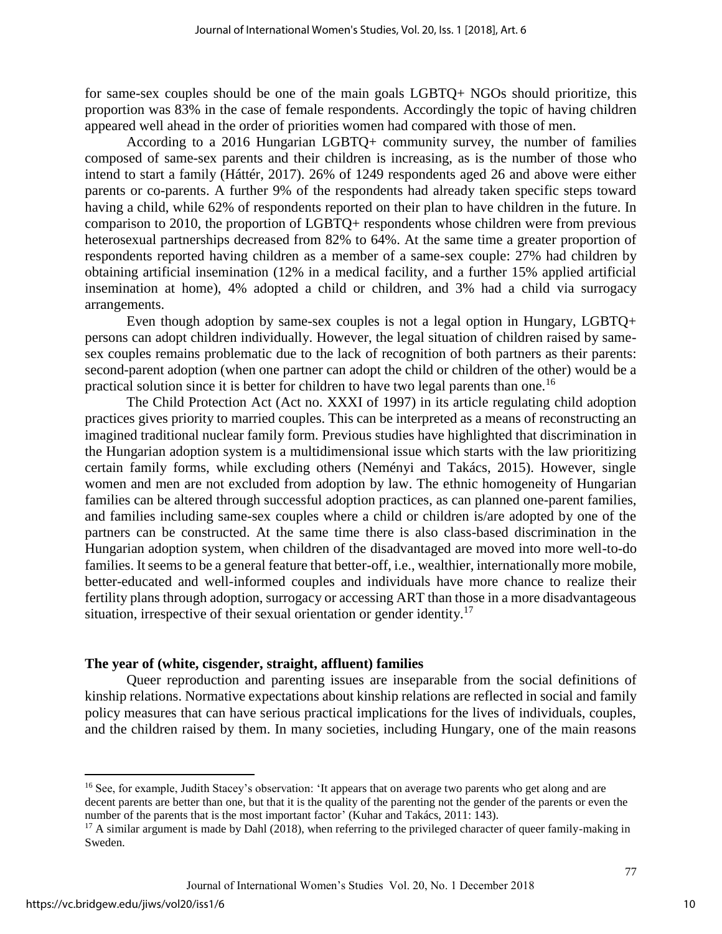for same-sex couples should be one of the main goals LGBTQ+ NGOs should prioritize, this proportion was 83% in the case of female respondents. Accordingly the topic of having children appeared well ahead in the order of priorities women had compared with those of men.

According to a 2016 Hungarian LGBTQ+ community survey, the number of families composed of same-sex parents and their children is increasing, as is the number of those who intend to start a family (Háttér, 2017). 26% of 1249 respondents aged 26 and above were either parents or co-parents. A further 9% of the respondents had already taken specific steps toward having a child, while 62% of respondents reported on their plan to have children in the future. In comparison to 2010, the proportion of LGBTQ+ respondents whose children were from previous heterosexual partnerships decreased from 82% to 64%. At the same time a greater proportion of respondents reported having children as a member of a same-sex couple: 27% had children by obtaining artificial insemination (12% in a medical facility, and a further 15% applied artificial insemination at home), 4% adopted a child or children, and 3% had a child via surrogacy arrangements.

Even though adoption by same-sex couples is not a legal option in Hungary, LGBTQ+ persons can adopt children individually. However, the legal situation of children raised by samesex couples remains problematic due to the lack of recognition of both partners as their parents: second-parent adoption (when one partner can adopt the child or children of the other) would be a practical solution since it is better for children to have two legal parents than one.<sup>16</sup>

The Child Protection Act (Act no. XXXI of 1997) in its article regulating child adoption practices gives priority to married couples. This can be interpreted as a means of reconstructing an imagined traditional nuclear family form. Previous studies have highlighted that discrimination in the Hungarian adoption system is a multidimensional issue which starts with the law prioritizing certain family forms, while excluding others (Neményi and Takács, 2015). However, single women and men are not excluded from adoption by law. The ethnic homogeneity of Hungarian families can be altered through successful adoption practices, as can planned one-parent families, and families including same-sex couples where a child or children is/are adopted by one of the partners can be constructed. At the same time there is also class-based discrimination in the Hungarian adoption system, when children of the disadvantaged are moved into more well-to-do families. It seems to be a general feature that better-off, i.e., wealthier, internationally more mobile, better-educated and well-informed couples and individuals have more chance to realize their fertility plans through adoption, surrogacy or accessing ART than those in a more disadvantageous situation, irrespective of their sexual orientation or gender identity.<sup>17</sup>

#### **The year of (white, cisgender, straight, affluent) families**

Queer reproduction and parenting issues are inseparable from the social definitions of kinship relations. Normative expectations about kinship relations are reflected in social and family policy measures that can have serious practical implications for the lives of individuals, couples, and the children raised by them. In many societies, including Hungary, one of the main reasons

 $\overline{a}$ 

<sup>&</sup>lt;sup>16</sup> See, for example, Judith Stacey's observation: 'It appears that on average two parents who get along and are decent parents are better than one, but that it is the quality of the parenting not the gender of the parents or even the number of the parents that is the most important factor' (Kuhar and Takács, 2011: 143).

 $17$  A similar argument is made by Dahl (2018), when referring to the privileged character of queer family-making in Sweden.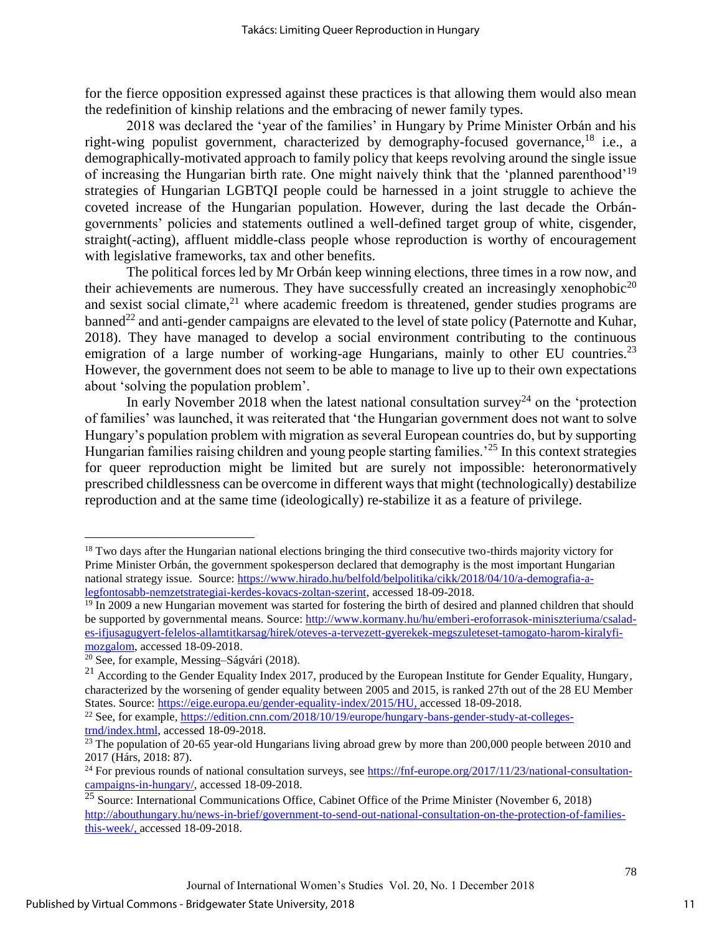for the fierce opposition expressed against these practices is that allowing them would also mean the redefinition of kinship relations and the embracing of newer family types.

2018 was declared the 'year of the families' in Hungary by Prime Minister Orbán and his right-wing populist government, characterized by demography-focused governance,<sup>18</sup> i.e., a demographically-motivated approach to family policy that keeps revolving around the single issue of increasing the Hungarian birth rate. One might naively think that the 'planned parenthood'<sup>19</sup> strategies of Hungarian LGBTQI people could be harnessed in a joint struggle to achieve the coveted increase of the Hungarian population. However, during the last decade the Orbángovernments' policies and statements outlined a well-defined target group of white, cisgender, straight(-acting), affluent middle-class people whose reproduction is worthy of encouragement with legislative frameworks, tax and other benefits.

The political forces led by Mr Orbán keep winning elections, three times in a row now, and their achievements are numerous. They have successfully created an increasingly xenophobic<sup>20</sup> and sexist social climate, $^{21}$  where academic freedom is threatened, gender studies programs are  $b$ anned<sup>22</sup> and anti-gender campaigns are elevated to the level of state policy (Paternotte and Kuhar, 2018). They have managed to develop a social environment contributing to the continuous emigration of a large number of working-age Hungarians, mainly to other EU countries.<sup>23</sup> However, the government does not seem to be able to manage to live up to their own expectations about 'solving the population problem'.

In early November 2018 when the latest national consultation survey<sup>24</sup> on the 'protection of families' was launched, it was reiterated that 'the Hungarian government does not want to solve Hungary's population problem with migration as several European countries do, but by supporting Hungarian families raising children and young people starting families.<sup>25</sup> In this context strategies for queer reproduction might be limited but are surely not impossible: heteronormatively prescribed childlessness can be overcome in different ways that might (technologically) destabilize reproduction and at the same time (ideologically) re-stabilize it as a feature of privilege.

 $\overline{a}$ 

<sup>&</sup>lt;sup>18</sup> Two days after the Hungarian national elections bringing the third consecutive two-thirds majority victory for Prime Minister Orbán, the government spokesperson declared that demography is the most important Hungarian national strategy issue. Source: [https://www.hirado.hu/belfold/belpolitika/cikk/2018/04/10/a-demografia-a](https://www.hirado.hu/belfold/belpolitika/cikk/2018/04/10/a-demografia-a-legfontosabb-nemzetstrategiai-kerdes-kovacs-zoltan-szerint)[legfontosabb-nemzetstrategiai-kerdes-kovacs-zoltan-szerint,](https://www.hirado.hu/belfold/belpolitika/cikk/2018/04/10/a-demografia-a-legfontosabb-nemzetstrategiai-kerdes-kovacs-zoltan-szerint) accessed 18-09-2018.

 $19$  In 2009 a new Hungarian movement was started for fostering the birth of desired and planned children that should be supported by governmental means. Source: [http://www.kormany.hu/hu/emberi-eroforrasok-miniszteriuma/csalad](http://www.kormany.hu/hu/emberi-eroforrasok-miniszteriuma/csalad-es-ifjusagugyert-felelos-allamtitkarsag/hirek/oteves-a-tervezett-gyerekek-megszuleteset-tamogato-harom-kiralyfi-mozgalom)[es-ifjusagugyert-felelos-allamtitkarsag/hirek/oteves-a-tervezett-gyerekek-megszuleteset-tamogato-harom-kiralyfi](http://www.kormany.hu/hu/emberi-eroforrasok-miniszteriuma/csalad-es-ifjusagugyert-felelos-allamtitkarsag/hirek/oteves-a-tervezett-gyerekek-megszuleteset-tamogato-harom-kiralyfi-mozgalom)[mozgalom,](http://www.kormany.hu/hu/emberi-eroforrasok-miniszteriuma/csalad-es-ifjusagugyert-felelos-allamtitkarsag/hirek/oteves-a-tervezett-gyerekek-megszuleteset-tamogato-harom-kiralyfi-mozgalom) accessed 18-09-2018.

<sup>20</sup> See, for example, Messing–Ságvári (2018).

 $^{21}$  According to the Gender Equality Index 2017, produced by the European Institute for Gender Equality, Hungary, characterized by the worsening of gender equality between 2005 and 2015, is ranked 27th out of the 28 EU Member States. Source: [https://eige.europa.eu/gender-equality-index/2015/HU,](https://eige.europa.eu/gender-equality-index/2015/HU) accessed 18-09-2018.

<sup>&</sup>lt;sup>22</sup> See, for example, [https://edition.cnn.com/2018/10/19/europe/hungary-bans-gender-study-at-colleges](https://edition.cnn.com/2018/10/19/europe/hungary-bans-gender-study-at-colleges-trnd/index.html)[trnd/index.html,](https://edition.cnn.com/2018/10/19/europe/hungary-bans-gender-study-at-colleges-trnd/index.html) accessed 18-09-2018.

<sup>&</sup>lt;sup>23</sup> The population of 20-65 year-old Hungarians living abroad grew by more than 200,000 people between 2010 and 2017 (Hárs, 2018: 87).

 $^{24}$  For previous rounds of national consultation surveys, see  $\frac{https://fnf-europe.org/2017/11/23/national-consulation-1001/23}{n}$ [campaigns-in-hungary/,](https://fnf-europe.org/2017/11/23/national-consultation-campaigns-in-hungary/) accessed 18-09-2018.

<sup>&</sup>lt;sup>25</sup> Source: International Communications Office, Cabinet Office of the Prime Minister (November 6, 2018) [http://abouthungary.hu/news-in-brief/government-to-send-out-national-consultation-on-the-protection-of-families](http://abouthungary.hu/news-in-brief/government-to-send-out-national-consultation-on-the-protection-of-families-this-week/)[this-week/,](http://abouthungary.hu/news-in-brief/government-to-send-out-national-consultation-on-the-protection-of-families-this-week/) accessed 18-09-2018.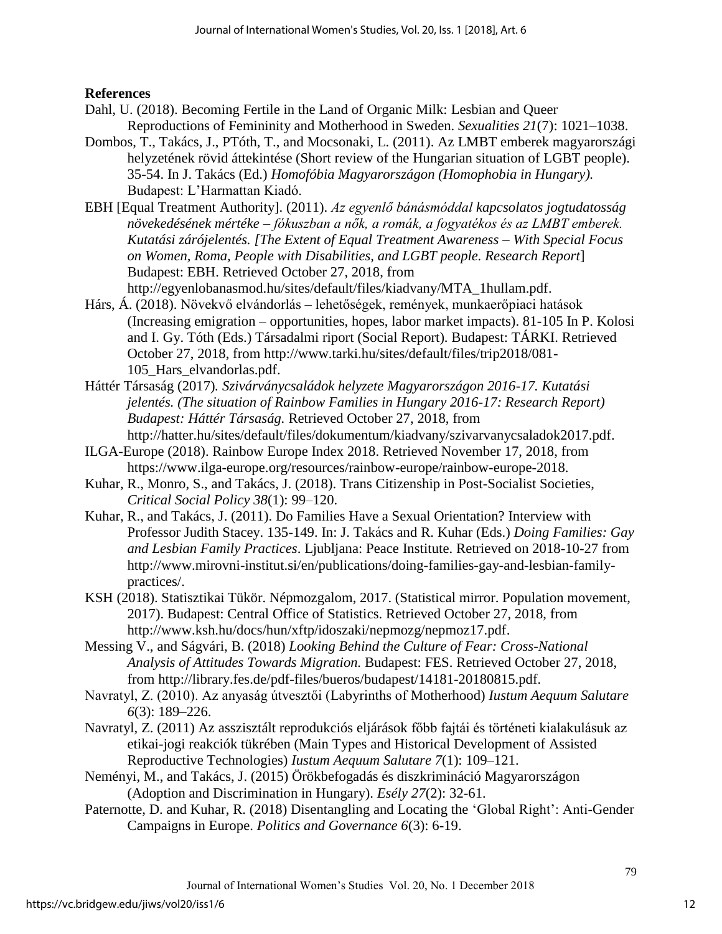# **References**

- Dahl, U. (2018). Becoming Fertile in the Land of Organic Milk: Lesbian and Queer Reproductions of Femininity and Motherhood in Sweden. *Sexualities 21*(7): 1021–1038.
- Dombos, T., Takács, J., PTóth, T., and Mocsonaki, L. (2011). Az LMBT emberek magyarországi helyzetének rövid áttekintése (Short review of the Hungarian situation of LGBT people). 35-54. In J. Takács (Ed.) *Homofóbia Magyarországon (Homophobia in Hungary).* Budapest: L'Harmattan Kiadó.
- EBH [Equal Treatment Authority]. (2011). *Az egyenlő bánásmóddal kapcsolatos jogtudatosság növekedésének mértéke – fókuszban a nők, a romák, a fogyatékos és az LMBT emberek. Kutatási zárójelentés. [The Extent of Equal Treatment Awareness – With Special Focus on Women, Roma, People with Disabilities, and LGBT people. Research Report*] Budapest: EBH. Retrieved October 27, 2018, from

http://egyenlobanasmod.hu/sites/default/files/kiadvany/MTA\_1hullam.pdf.

- Hárs, Á. (2018). Növekvő elvándorlás lehetőségek, remények, munkaerőpiaci hatások (Increasing emigration – opportunities, hopes, labor market impacts). 81-105 In P. Kolosi and I. Gy. Tóth (Eds.) Társadalmi riport (Social Report). Budapest: TÁRKI. Retrieved October 27, 2018, from [http://www.tarki.hu/sites/default/files/trip2018/081-](http://www.tarki.hu/sites/default/files/trip2018/081-105_Hars_elvandorlas.pdf) [105\\_Hars\\_elvandorlas.pdf.](http://www.tarki.hu/sites/default/files/trip2018/081-105_Hars_elvandorlas.pdf)
- Háttér Társaság (2017)*. Szivárványcsaládok helyzete Magyarországon 2016-17. Kutatási jelentés. (The situation of Rainbow Families in Hungary 2016-17: Research Report) Budapest: Háttér Társaság.* Retrieved October 27, 2018, from http://hatter.hu/sites/default/files/dokumentum/kiadvany/szivarvanycsaladok2017.pdf.
- ILGA-Europe (2018). Rainbow Europe Index 2018. Retrieved November 17, 2018, from [https://www.ilga-europe.org/resources/rainbow-europe/rainbow-europe-2018.](https://www.ilga-europe.org/resources/rainbow-europe/rainbow-europe-2018)
- Kuhar, R., Monro, S., and Takács, J. (2018). Trans Citizenship in Post-Socialist Societies, *Critical Social Policy 38*(1): 99–120.
- Kuhar, R., and Takács, J. (2011). Do Families Have a Sexual Orientation? Interview with Professor Judith Stacey. 135-149. In: J. Takács and R. Kuhar (Eds.) *Doing Families: Gay and Lesbian Family Practices*. Ljubljana: Peace Institute. Retrieved on 2018-10-27 from http://www.mirovni-institut.si/en/publications/doing-families-gay-and-lesbian-familypractices/.
- KSH (2018). Statisztikai Tükör. Népmozgalom, 2017. (Statistical mirror. Population movement, 2017). Budapest: Central Office of Statistics. Retrieved October 27, 2018, from http://www.ksh.hu/docs/hun/xftp/idoszaki/nepmozg/nepmoz17.pdf.
- Messing V., and Ságvári, B. (2018) *Looking Behind the Culture of Fear: Cross-National Analysis of Attitudes Towards Migration.* Budapest: FES. Retrieved October 27, 2018, from http://library.fes.de/pdf-files/bueros/budapest/14181-20180815.pdf.
- Navratyl, Z. (2010). Az anyaság útvesztői (Labyrinths of Motherhood) *Iustum Aequum Salutare 6*(3): 189–226.
- Navratyl, Z. (2011) Az asszisztált reprodukciós eljárások főbb fajtái és történeti kialakulásuk az etikai-jogi reakciók tükrében (Main Types and Historical Development of Assisted Reproductive Technologies) *Iustum Aequum Salutare 7*(1): 109–121.
- Neményi, M., and Takács, J. (2015) Örökbefogadás és diszkrimináció Magyarországon (Adoption and Discrimination in Hungary). *Esély 27*(2): 32-61.
- Paternotte, D. and Kuhar, R. (2018) Disentangling and Locating the 'Global Right': Anti-Gender Campaigns in Europe. *Politics and Governance 6*(3): 6-19.